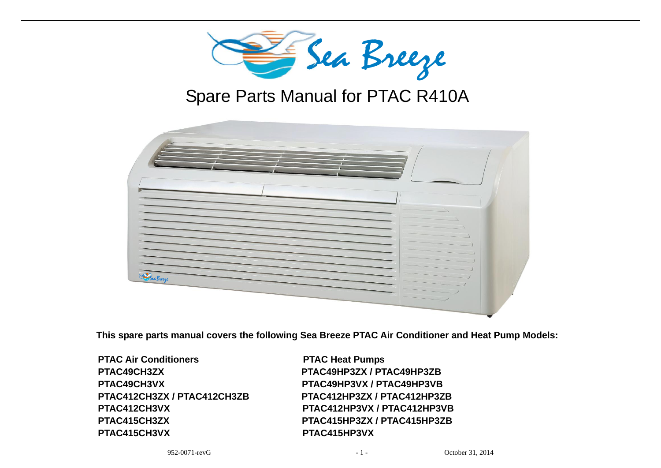

# Spare Parts Manual for PTAC R410A

|                                                                                                                   | Sea Breeze                        |                  |
|-------------------------------------------------------------------------------------------------------------------|-----------------------------------|------------------|
|                                                                                                                   | Spare Parts Manual for PTAC R410A |                  |
|                                                                                                                   |                                   |                  |
| <b>Sea Breeze</b>                                                                                                 |                                   |                  |
| pare parts manual covers the following Sea Breeze PTAC Air Conditioner and Heat Pump M<br><b>Air Conditioners</b> | <b>PTAC Heat Pumps</b>            |                  |
| <b>I9CH3ZX</b>                                                                                                    | PTAC49HP3ZX / PTAC49HP3ZB         |                  |
| <b>19CH3VX</b>                                                                                                    | PTAC49HP3VX / PTAC49HP3VB         |                  |
| <b>12CH3ZX / PTAC412CH3ZB</b>                                                                                     | PTAC412HP3ZX / PTAC412HP3ZB       |                  |
| 112CH3VX                                                                                                          | PTAC412HP3VX / PTAC412HP3VB       |                  |
| <b>15CH3ZX</b>                                                                                                    | PTAC415HP3ZX / PTAC415HP3ZB       |                  |
| <b>15CH3VX</b>                                                                                                    | PTAC415HP3VX                      |                  |
| 952-0071-revG                                                                                                     | $-1 -$                            | October 31, 2014 |

**This spare parts manual covers the following Sea Breeze PTAC Air Conditioner and Heat Pump Models:**

**PTAC Air Conditioners PTAC Heat Pumps PTAC49CH3ZX PTAC49HP3ZX / PTAC49HP3ZB PTAC49CH3VX PTAC49HP3VX / PTAC49HP3VB PTAC415CH3VX PTAC415HP3VX**

 **PTAC412CH3ZX / PTAC412CH3ZB PTAC412HP3ZX / PTAC412HP3ZB PTAC412CH3VX PTAC412HP3VX / PTAC412HP3VB PTAC415CH3ZX PTAC415HP3ZX / PTAC415HP3ZB**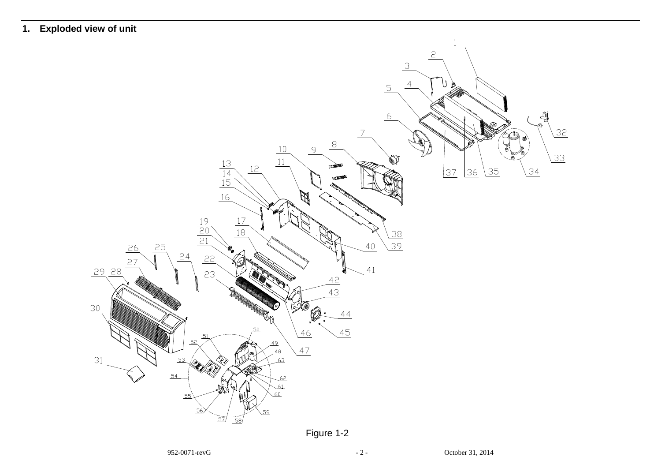## **1. Exploded view of unit**



Figure 1-2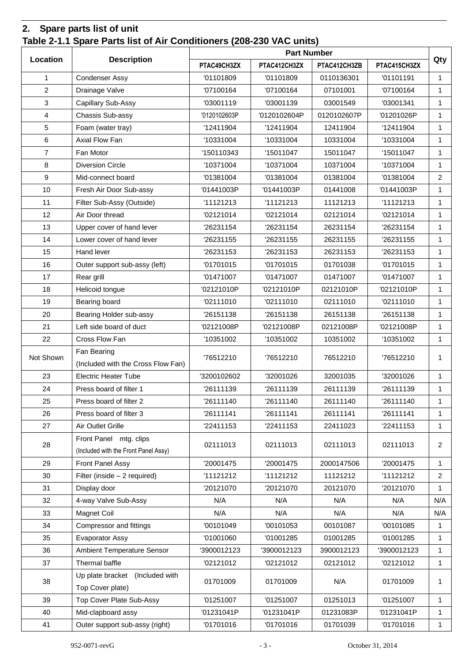## **2. Spare parts list of unit Table 2-1.1 Spare Parts list of Air Conditioners (208-230 VAC units)**

|                |                                      | <b>Part Number</b> |              |              |              |                |  |
|----------------|--------------------------------------|--------------------|--------------|--------------|--------------|----------------|--|
| Location       | <b>Description</b>                   | PTAC49CH3ZX        | PTAC412CH3ZX | PTAC412CH3ZB | PTAC415CH3ZX | Qty            |  |
| 1              | <b>Condenser Assy</b>                | '01101809          | '01101809    | 0110136301   | '01101191    | $\mathbf{1}$   |  |
| $\overline{2}$ | Drainage Valve                       | '07100164          | '07100164    | 07101001     | '07100164    | $\mathbf{1}$   |  |
| 3              | Capillary Sub-Assy                   | '03001119          | '03001139    | 03001549     | '03001341    | $\mathbf{1}$   |  |
| 4              | Chassis Sub-assy                     | '0120102603P       | '0120102604P | 0120102607P  | '01201026P   | $\mathbf{1}$   |  |
| 5              | Foam (water tray)                    | '12411904          | '12411904    | 12411904     | '12411904    | $\mathbf{1}$   |  |
| 6              | Axial Flow Fan                       | '10331004          | '10331004    | 10331004     | '10331004    | $\mathbf{1}$   |  |
| $\overline{7}$ | Fan Motor                            | '150110343         | '15011047    | 15011047     | '15011047    | $\mathbf{1}$   |  |
| 8              | <b>Diversion Circle</b>              | '10371004          | '10371004    | 10371004     | '10371004    | $\mathbf{1}$   |  |
| 9              | Mid-connect board                    | '01381004          | '01381004    | 01381004     | '01381004    | $\overline{2}$ |  |
| 10             | Fresh Air Door Sub-assy              | '01441003P         | '01441003P   | 01441008     | '01441003P   | $\mathbf{1}$   |  |
| 11             | Filter Sub-Assy (Outside)            | '11121213          | '11121213    | 11121213     | '11121213    | $\mathbf{1}$   |  |
| 12             | Air Door thread                      | '02121014          | '02121014    | 02121014     | '02121014    | $\mathbf{1}$   |  |
| 13             | Upper cover of hand lever            | '26231154          | '26231154    | 26231154     | '26231154    | $\mathbf{1}$   |  |
| 14             | Lower cover of hand lever            | '26231155          | '26231155    | 26231155     | '26231155    | $\mathbf{1}$   |  |
| 15             | Hand lever                           | '26231153          | '26231153    | 26231153     | '26231153    | $\mathbf{1}$   |  |
| 16             | Outer support sub-assy (left)        | '01701015          | '01701015    | 01701038     | '01701015    | $\mathbf{1}$   |  |
| 17             | Rear grill                           | '01471007          | '01471007    | 01471007     | '01471007    | $\mathbf{1}$   |  |
| 18             | Helicoid tongue                      | '02121010P         | '02121010P   | 02121010P    | '02121010P   | $\mathbf{1}$   |  |
| 19             | Bearing board                        | '02111010          | '02111010    | 02111010     | '02111010    | $\mathbf{1}$   |  |
| 20             | Bearing Holder sub-assy              | '26151138          | '26151138    | 26151138     | '26151138    | $\mathbf{1}$   |  |
| 21             | Left side board of duct              | '02121008P         | '02121008P   | 02121008P    | '02121008P   | $\mathbf{1}$   |  |
| 22             | Cross Flow Fan                       | '10351002          | '10351002    | 10351002     | '10351002    | $\mathbf{1}$   |  |
| Not Shown      | Fan Bearing                          | '76512210          | '76512210    | 76512210     | '76512210    |                |  |
|                | (Included with the Cross Flow Fan)   |                    |              |              |              | 1              |  |
| 23             | <b>Electric Heater Tube</b>          | '3200102602        | '32001026    | 32001035     | '32001026    | $\mathbf{1}$   |  |
| 24             | Press board of filter 1              | '26111139          | '26111139    | 26111139     | '26111139    | $\mathbf{1}$   |  |
| 25             | Press board of filter 2              | '26111140          | '26111140    | 26111140     | '26111140    | $\mathbf{1}$   |  |
| 26             | Press board of filter 3              | '26111141          | '26111141    | 26111141     | '26111141    | $\mathbf{1}$   |  |
| 27             | Air Outlet Grille                    | '22411153          | '22411153    | 22411023     | '22411153    | $\mathbf{1}$   |  |
| 28             | Front Panel mtg. clips               | 02111013           | 02111013     | 02111013     | 02111013     | $\overline{2}$ |  |
|                | (Included with the Front Panel Assy) |                    |              |              |              |                |  |
| 29             | Front Panel Assy                     | '20001475          | '20001475    | 2000147506   | '20001475    | $\mathbf{1}$   |  |
| 30             | Filter (inside - 2 required)         | '11121212          | '11121212    | 11121212     | '11121212    | $\overline{2}$ |  |
| 31             | Display door                         | '20121070          | '20121070    | 20121070     | '20121070    | 1              |  |
| 32             | 4-way Valve Sub-Assy                 | N/A                | N/A          | N/A          | N/A          | N/A            |  |
| 33             | Magnet Coil                          | N/A                | N/A          | N/A          | N/A          | N/A            |  |
| 34             | Compressor and fittings              | '00101049          | '00101053    | 00101087     | '00101085    | $\mathbf{1}$   |  |
| 35             | Evaporator Assy                      | '01001060          | '01001285    | 01001285     | '01001285    | $\mathbf{1}$   |  |
| 36             | <b>Ambient Temperature Sensor</b>    | '3900012123        | '3900012123  | 3900012123   | '3900012123  | $\mathbf{1}$   |  |
| 37             | Thermal baffle                       | '02121012          | '02121012    | 02121012     | '02121012    | $\mathbf{1}$   |  |
| 38             | Up plate bracket (Included with      | 01701009           | 01701009     | N/A          | 01701009     | $\mathbf{1}$   |  |
|                | Top Cover plate)                     |                    |              |              |              |                |  |
| 39             | Top Cover Plate Sub-Assy             | '01251007          | '01251007    | 01251013     | '01251007    | $\mathbf{1}$   |  |
| 40             | Mid-clapboard assy                   | '01231041P         | '01231041P   | 01231083P    | '01231041P   | $\mathbf{1}$   |  |
| 41             | Outer support sub-assy (right)       | '01701016          | '01701016    | 01701039     | '01701016    | 1              |  |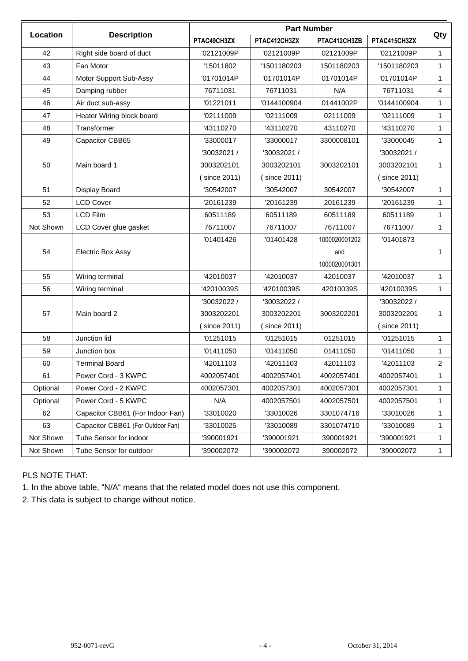|           |                                   | <b>Part Number</b> |              |               |              |                |  |
|-----------|-----------------------------------|--------------------|--------------|---------------|--------------|----------------|--|
| Location  | <b>Description</b>                | PTAC49CH3ZX        | PTAC412CH3ZX | PTAC412CH3ZB  | PTAC415CH3ZX | Qty            |  |
| 42        | Right side board of duct          | '02121009P         | '02121009P   | 02121009P     | '02121009P   | 1              |  |
| 43        | Fan Motor                         | '15011802          | '1501180203  | 1501180203    | '1501180203  | $\mathbf{1}$   |  |
| 44        | Motor Support Sub-Assy            | '01701014P         | '01701014P   | 01701014P     | '01701014P   | $\mathbf{1}$   |  |
| 45        | Damping rubber                    | 76711031           | 76711031     | N/A           | 76711031     | $\overline{4}$ |  |
| 46        | Air duct sub-assy                 | '01221011          | '0144100904  | 01441002P     | '0144100904  | 1              |  |
| 47        | Heater Wiring block board         | '02111009          | '02111009    | 02111009      | '02111009    | 1              |  |
| 48        | Transformer                       | '43110270          | '43110270    | 43110270      | '43110270    | 1              |  |
| 49        | Capacitor CBB65                   | '33000017          | '33000017    | 3300008101    | '33000045    | 1              |  |
|           |                                   | '30032021 /        | '30032021 /  |               | '30032021 /  |                |  |
| 50        | Main board 1                      | 3003202101         | 3003202101   | 3003202101    | 3003202101   | 1              |  |
|           |                                   | (since 2011)       | (since 2011) |               | (since 2011) |                |  |
| 51        | Display Board                     | '30542007          | '30542007    | 30542007      | '30542007    | 1              |  |
| 52        | <b>LCD Cover</b>                  | '20161239          | '20161239    | 20161239      | '20161239    | $\mathbf{1}$   |  |
| 53        | <b>LCD Film</b>                   | 60511189           | 60511189     | 60511189      | 60511189     | 1              |  |
| Not Shown | LCD Cover glue gasket             | 76711007           | 76711007     | 76711007      | 76711007     | 1              |  |
|           | <b>Electric Box Assy</b>          | '01401426          | '01401428    | 1000020001202 | '01401873    |                |  |
| 54        |                                   |                    |              | and           |              | 1              |  |
|           |                                   |                    |              | 1000020001301 |              |                |  |
| 55        | Wiring terminal                   | '42010037          | '42010037    | 42010037      | '42010037    | 1              |  |
| 56        | Wiring terminal                   | '42010039S         | '42010039S   | 42010039S     | '42010039S   | 1.             |  |
|           |                                   | '30032022 /        | '30032022 /  |               | '30032022 /  |                |  |
| 57        | Main board 2                      | 3003202201         | 3003202201   | 3003202201    | 3003202201   | 1              |  |
|           |                                   | since 2011)        | (since 2011) |               | (since 2011) |                |  |
| 58        | Junction lid                      | '01251015          | '01251015    | 01251015      | '01251015    | $\mathbf{1}$   |  |
| 59        | Junction box                      | '01411050          | '01411050    | 01411050      | '01411050    | 1              |  |
| 60        | <b>Terminal Board</b>             | '42011103          | '42011103    | 42011103      | '42011103    | $\overline{2}$ |  |
| 61        | Power Cord - 3 KWPC               | 4002057401         | 4002057401   | 4002057401    | 4002057401   | 1              |  |
| Optional  | Power Cord - 2 KWPC               | 4002057301         | 4002057301   | 4002057301    | 4002057301   | 1.             |  |
| Optional  | Power Cord - 5 KWPC               | N/A                | 4002057501   | 4002057501    | 4002057501   | 1              |  |
| 62        | Capacitor CBB61 (For Indoor Fan)  | '33010020          | '33010026    | 3301074716    | '33010026    | $\mathbf{1}$   |  |
| 63        | Capacitor CBB61 (For Outdoor Fan) | '33010025          | '33010089    | 3301074710    | '33010089    | 1              |  |
| Not Shown | Tube Sensor for indoor            | '390001921         | '390001921   | 390001921     | '390001921   | 1              |  |
| Not Shown | Tube Sensor for outdoor           | '390002072         | '390002072   | 390002072     | '390002072   | $\mathbf{1}$   |  |

#### PLS NOTE THAT:

1. In the above table, "N/A" means that the related model does not use this component.

2. This data is subject to change without notice.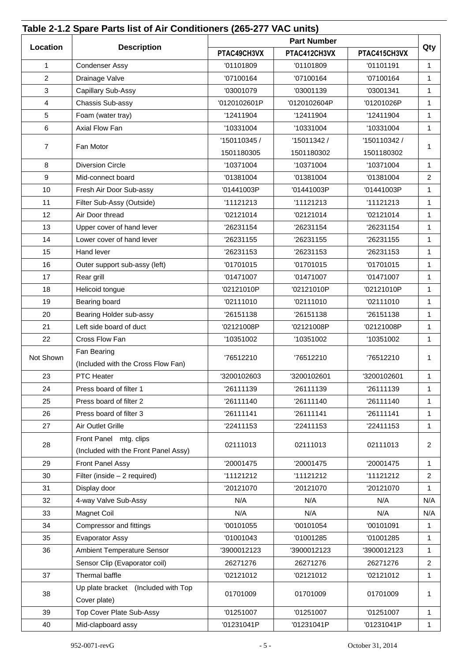| Qty<br>PTAC412CH3VX<br>PTAC49CH3VX<br>PTAC415CH3VX<br>1<br><b>Condenser Assy</b><br>'01101809<br>'01101809<br>'01101191<br>$\mathbf{1}$<br>$\overline{c}$<br>Drainage Valve<br>$\mathbf{1}$<br>'07100164<br>'07100164<br>'07100164<br>3<br>Capillary Sub-Assy<br>'03001079<br>'03001139<br>'03001341<br>$\mathbf{1}$<br>$\overline{4}$<br>Chassis Sub-assy<br>'0120102601P<br>'0120102604P<br>'01201026P<br>$\mathbf{1}$<br>5<br>'12411904<br>'12411904<br>$\mathbf{1}$<br>Foam (water tray)<br>'12411904<br>6<br>Axial Flow Fan<br>'10331004<br>'10331004<br>'10331004<br>$\mathbf{1}$<br>'150110345 /<br>'15011342 /<br>'150110342 /<br>$\overline{7}$<br>Fan Motor<br>1<br>1501180305<br>1501180302<br>1501180302<br>8<br><b>Diversion Circle</b><br>'10371004<br>'10371004<br>'10371004<br>$\mathbf 1$<br>9<br>$\overline{2}$<br>Mid-connect board<br>'01381004<br>'01381004<br>'01381004<br>'01441003P<br>10<br>Fresh Air Door Sub-assy<br>'01441003P<br>'01441003P<br>$\mathbf{1}$<br>11<br>Filter Sub-Assy (Outside)<br>'11121213<br>'11121213<br>'11121213<br>$\mathbf{1}$<br>12<br>Air Door thread<br>'02121014<br>'02121014<br>'02121014<br>$\mathbf{1}$<br>13<br>Upper cover of hand lever<br>'26231154<br>'26231154<br>'26231154<br>$\mathbf{1}$<br>14<br>Lower cover of hand lever<br>'26231155<br>'26231155<br>'26231155<br>$\mathbf{1}$<br>15<br>Hand lever<br>'26231153<br>'26231153<br>$\mathbf{1}$<br>'26231153<br>16<br>Outer support sub-assy (left)<br>'01701015<br>'01701015<br>'01701015<br>$\mathbf{1}$<br>Rear grill<br>17<br>'01471007<br>'01471007<br>'01471007<br>$\mathbf{1}$<br>Helicoid tongue<br>'02121010P<br>'02121010P<br>18<br>'02121010P<br>$\mathbf{1}$<br>Bearing board<br>19<br>'02111010<br>'02111010<br>'02111010<br>1<br>Bearing Holder sub-assy<br>20<br>'26151138<br>'26151138<br>'26151138<br>$\mathbf{1}$<br>21<br>Left side board of duct<br>'02121008P<br>'02121008P<br>'02121008P<br>$\mathbf{1}$<br>22<br>Cross Flow Fan<br>'10351002<br>'10351002<br>'10351002<br>$\mathbf{1}$<br>Fan Bearing<br>Not Shown<br>'76512210<br>'76512210<br>'76512210<br>$\mathbf{1}$<br>(Included with the Cross Flow Fan)<br>23<br>PTC Heater<br>'3200102603<br>'3200102601<br>'3200102601<br>1<br>'26111139<br>'26111139<br>24<br>Press board of filter 1<br>'26111139<br>$\mathbf{1}$<br>25<br>Press board of filter 2<br>'26111140<br>'26111140<br>'26111140<br>$\mathbf{1}$<br>26<br>Press board of filter 3<br>'26111141<br>'26111141<br>'26111141<br>$\mathbf 1$<br>27<br>Air Outlet Grille<br>'22411153<br>'22411153<br>'22411153<br>$\mathbf{1}$<br>Front Panel mtg. clips<br>$\overline{2}$<br>28<br>02111013<br>02111013<br>02111013<br>(Included with the Front Panel Assy)<br>29<br>Front Panel Assy<br>'20001475<br>'20001475<br>'20001475<br>$\mathbf{1}$<br>30<br>Filter (inside - 2 required)<br>'11121212<br>'11121212<br>'11121212<br>$\overline{2}$<br>31<br>'20121070<br>'20121070<br>Display door<br>'20121070<br>$\mathbf{1}$<br>4-way Valve Sub-Assy<br>N/A<br>N/A<br>N/A<br>32<br>Magnet Coil<br>N/A<br>N/A<br>N/A<br>33<br>Compressor and fittings<br>'00101055<br>'00101054<br>'00101091<br>34<br>$\mathbf{1}$<br>'01001043<br>'01001285<br>35<br>Evaporator Assy<br>'01001285<br>$\mathbf 1$<br>36<br>Ambient Temperature Sensor<br>'3900012123<br>'3900012123<br>'3900012123<br>$\mathbf 1$<br>Sensor Clip (Evaporator coil)<br>26271276<br>26271276<br>26271276<br>$\overline{2}$<br>37<br>Thermal baffle<br>'02121012<br>'02121012<br>'02121012<br>$\mathbf 1$<br>Up plate bracket (Included with Top<br>01701009<br>01701009<br>01701009<br>38<br>$\mathbf{1}$<br>Cover plate)<br>Top Cover Plate Sub-Assy<br>39<br>'01251007<br>'01251007<br>'01251007<br>$\mathbf{1}$<br>40<br>Mid-clapboard assy<br>'01231041P<br>'01231041P<br>'01231041P<br>$\mathbf{1}$ |          | Table 2-1.2 Spare Parts list of Air Conditioners (265-277 VAC units) |  | <b>Part Number</b> |  |     |  |  |
|--------------------------------------------------------------------------------------------------------------------------------------------------------------------------------------------------------------------------------------------------------------------------------------------------------------------------------------------------------------------------------------------------------------------------------------------------------------------------------------------------------------------------------------------------------------------------------------------------------------------------------------------------------------------------------------------------------------------------------------------------------------------------------------------------------------------------------------------------------------------------------------------------------------------------------------------------------------------------------------------------------------------------------------------------------------------------------------------------------------------------------------------------------------------------------------------------------------------------------------------------------------------------------------------------------------------------------------------------------------------------------------------------------------------------------------------------------------------------------------------------------------------------------------------------------------------------------------------------------------------------------------------------------------------------------------------------------------------------------------------------------------------------------------------------------------------------------------------------------------------------------------------------------------------------------------------------------------------------------------------------------------------------------------------------------------------------------------------------------------------------------------------------------------------------------------------------------------------------------------------------------------------------------------------------------------------------------------------------------------------------------------------------------------------------------------------------------------------------------------------------------------------------------------------------------------------------------------------------------------------------------------------------------------------------------------------------------------------------------------------------------------------------------------------------------------------------------------------------------------------------------------------------------------------------------------------------------------------------------------------------------------------------------------------------------------------------------------------------------------------------------------------------------------------------------------------------------------------------------------------------------------------------------------------------------------------------------------------------------------------------------------------------------------------------------------------------------------------------------------------------------------------------------------------------------------------------------------------------------------------------------------------------------------------------------------------------------------------------------------------------------------------------------------------------------------------------------|----------|----------------------------------------------------------------------|--|--------------------|--|-----|--|--|
|                                                                                                                                                                                                                                                                                                                                                                                                                                                                                                                                                                                                                                                                                                                                                                                                                                                                                                                                                                                                                                                                                                                                                                                                                                                                                                                                                                                                                                                                                                                                                                                                                                                                                                                                                                                                                                                                                                                                                                                                                                                                                                                                                                                                                                                                                                                                                                                                                                                                                                                                                                                                                                                                                                                                                                                                                                                                                                                                                                                                                                                                                                                                                                                                                                                                                                                                                                                                                                                                                                                                                                                                                                                                                                                                                                                                                                | Location | <b>Description</b>                                                   |  |                    |  |     |  |  |
|                                                                                                                                                                                                                                                                                                                                                                                                                                                                                                                                                                                                                                                                                                                                                                                                                                                                                                                                                                                                                                                                                                                                                                                                                                                                                                                                                                                                                                                                                                                                                                                                                                                                                                                                                                                                                                                                                                                                                                                                                                                                                                                                                                                                                                                                                                                                                                                                                                                                                                                                                                                                                                                                                                                                                                                                                                                                                                                                                                                                                                                                                                                                                                                                                                                                                                                                                                                                                                                                                                                                                                                                                                                                                                                                                                                                                                |          |                                                                      |  |                    |  |     |  |  |
|                                                                                                                                                                                                                                                                                                                                                                                                                                                                                                                                                                                                                                                                                                                                                                                                                                                                                                                                                                                                                                                                                                                                                                                                                                                                                                                                                                                                                                                                                                                                                                                                                                                                                                                                                                                                                                                                                                                                                                                                                                                                                                                                                                                                                                                                                                                                                                                                                                                                                                                                                                                                                                                                                                                                                                                                                                                                                                                                                                                                                                                                                                                                                                                                                                                                                                                                                                                                                                                                                                                                                                                                                                                                                                                                                                                                                                |          |                                                                      |  |                    |  |     |  |  |
|                                                                                                                                                                                                                                                                                                                                                                                                                                                                                                                                                                                                                                                                                                                                                                                                                                                                                                                                                                                                                                                                                                                                                                                                                                                                                                                                                                                                                                                                                                                                                                                                                                                                                                                                                                                                                                                                                                                                                                                                                                                                                                                                                                                                                                                                                                                                                                                                                                                                                                                                                                                                                                                                                                                                                                                                                                                                                                                                                                                                                                                                                                                                                                                                                                                                                                                                                                                                                                                                                                                                                                                                                                                                                                                                                                                                                                |          |                                                                      |  |                    |  |     |  |  |
|                                                                                                                                                                                                                                                                                                                                                                                                                                                                                                                                                                                                                                                                                                                                                                                                                                                                                                                                                                                                                                                                                                                                                                                                                                                                                                                                                                                                                                                                                                                                                                                                                                                                                                                                                                                                                                                                                                                                                                                                                                                                                                                                                                                                                                                                                                                                                                                                                                                                                                                                                                                                                                                                                                                                                                                                                                                                                                                                                                                                                                                                                                                                                                                                                                                                                                                                                                                                                                                                                                                                                                                                                                                                                                                                                                                                                                |          |                                                                      |  |                    |  |     |  |  |
|                                                                                                                                                                                                                                                                                                                                                                                                                                                                                                                                                                                                                                                                                                                                                                                                                                                                                                                                                                                                                                                                                                                                                                                                                                                                                                                                                                                                                                                                                                                                                                                                                                                                                                                                                                                                                                                                                                                                                                                                                                                                                                                                                                                                                                                                                                                                                                                                                                                                                                                                                                                                                                                                                                                                                                                                                                                                                                                                                                                                                                                                                                                                                                                                                                                                                                                                                                                                                                                                                                                                                                                                                                                                                                                                                                                                                                |          |                                                                      |  |                    |  |     |  |  |
|                                                                                                                                                                                                                                                                                                                                                                                                                                                                                                                                                                                                                                                                                                                                                                                                                                                                                                                                                                                                                                                                                                                                                                                                                                                                                                                                                                                                                                                                                                                                                                                                                                                                                                                                                                                                                                                                                                                                                                                                                                                                                                                                                                                                                                                                                                                                                                                                                                                                                                                                                                                                                                                                                                                                                                                                                                                                                                                                                                                                                                                                                                                                                                                                                                                                                                                                                                                                                                                                                                                                                                                                                                                                                                                                                                                                                                |          |                                                                      |  |                    |  |     |  |  |
|                                                                                                                                                                                                                                                                                                                                                                                                                                                                                                                                                                                                                                                                                                                                                                                                                                                                                                                                                                                                                                                                                                                                                                                                                                                                                                                                                                                                                                                                                                                                                                                                                                                                                                                                                                                                                                                                                                                                                                                                                                                                                                                                                                                                                                                                                                                                                                                                                                                                                                                                                                                                                                                                                                                                                                                                                                                                                                                                                                                                                                                                                                                                                                                                                                                                                                                                                                                                                                                                                                                                                                                                                                                                                                                                                                                                                                |          |                                                                      |  |                    |  |     |  |  |
|                                                                                                                                                                                                                                                                                                                                                                                                                                                                                                                                                                                                                                                                                                                                                                                                                                                                                                                                                                                                                                                                                                                                                                                                                                                                                                                                                                                                                                                                                                                                                                                                                                                                                                                                                                                                                                                                                                                                                                                                                                                                                                                                                                                                                                                                                                                                                                                                                                                                                                                                                                                                                                                                                                                                                                                                                                                                                                                                                                                                                                                                                                                                                                                                                                                                                                                                                                                                                                                                                                                                                                                                                                                                                                                                                                                                                                |          |                                                                      |  |                    |  |     |  |  |
|                                                                                                                                                                                                                                                                                                                                                                                                                                                                                                                                                                                                                                                                                                                                                                                                                                                                                                                                                                                                                                                                                                                                                                                                                                                                                                                                                                                                                                                                                                                                                                                                                                                                                                                                                                                                                                                                                                                                                                                                                                                                                                                                                                                                                                                                                                                                                                                                                                                                                                                                                                                                                                                                                                                                                                                                                                                                                                                                                                                                                                                                                                                                                                                                                                                                                                                                                                                                                                                                                                                                                                                                                                                                                                                                                                                                                                |          |                                                                      |  |                    |  |     |  |  |
|                                                                                                                                                                                                                                                                                                                                                                                                                                                                                                                                                                                                                                                                                                                                                                                                                                                                                                                                                                                                                                                                                                                                                                                                                                                                                                                                                                                                                                                                                                                                                                                                                                                                                                                                                                                                                                                                                                                                                                                                                                                                                                                                                                                                                                                                                                                                                                                                                                                                                                                                                                                                                                                                                                                                                                                                                                                                                                                                                                                                                                                                                                                                                                                                                                                                                                                                                                                                                                                                                                                                                                                                                                                                                                                                                                                                                                |          |                                                                      |  |                    |  |     |  |  |
|                                                                                                                                                                                                                                                                                                                                                                                                                                                                                                                                                                                                                                                                                                                                                                                                                                                                                                                                                                                                                                                                                                                                                                                                                                                                                                                                                                                                                                                                                                                                                                                                                                                                                                                                                                                                                                                                                                                                                                                                                                                                                                                                                                                                                                                                                                                                                                                                                                                                                                                                                                                                                                                                                                                                                                                                                                                                                                                                                                                                                                                                                                                                                                                                                                                                                                                                                                                                                                                                                                                                                                                                                                                                                                                                                                                                                                |          |                                                                      |  |                    |  |     |  |  |
|                                                                                                                                                                                                                                                                                                                                                                                                                                                                                                                                                                                                                                                                                                                                                                                                                                                                                                                                                                                                                                                                                                                                                                                                                                                                                                                                                                                                                                                                                                                                                                                                                                                                                                                                                                                                                                                                                                                                                                                                                                                                                                                                                                                                                                                                                                                                                                                                                                                                                                                                                                                                                                                                                                                                                                                                                                                                                                                                                                                                                                                                                                                                                                                                                                                                                                                                                                                                                                                                                                                                                                                                                                                                                                                                                                                                                                |          |                                                                      |  |                    |  |     |  |  |
|                                                                                                                                                                                                                                                                                                                                                                                                                                                                                                                                                                                                                                                                                                                                                                                                                                                                                                                                                                                                                                                                                                                                                                                                                                                                                                                                                                                                                                                                                                                                                                                                                                                                                                                                                                                                                                                                                                                                                                                                                                                                                                                                                                                                                                                                                                                                                                                                                                                                                                                                                                                                                                                                                                                                                                                                                                                                                                                                                                                                                                                                                                                                                                                                                                                                                                                                                                                                                                                                                                                                                                                                                                                                                                                                                                                                                                |          |                                                                      |  |                    |  |     |  |  |
|                                                                                                                                                                                                                                                                                                                                                                                                                                                                                                                                                                                                                                                                                                                                                                                                                                                                                                                                                                                                                                                                                                                                                                                                                                                                                                                                                                                                                                                                                                                                                                                                                                                                                                                                                                                                                                                                                                                                                                                                                                                                                                                                                                                                                                                                                                                                                                                                                                                                                                                                                                                                                                                                                                                                                                                                                                                                                                                                                                                                                                                                                                                                                                                                                                                                                                                                                                                                                                                                                                                                                                                                                                                                                                                                                                                                                                |          |                                                                      |  |                    |  |     |  |  |
|                                                                                                                                                                                                                                                                                                                                                                                                                                                                                                                                                                                                                                                                                                                                                                                                                                                                                                                                                                                                                                                                                                                                                                                                                                                                                                                                                                                                                                                                                                                                                                                                                                                                                                                                                                                                                                                                                                                                                                                                                                                                                                                                                                                                                                                                                                                                                                                                                                                                                                                                                                                                                                                                                                                                                                                                                                                                                                                                                                                                                                                                                                                                                                                                                                                                                                                                                                                                                                                                                                                                                                                                                                                                                                                                                                                                                                |          |                                                                      |  |                    |  |     |  |  |
|                                                                                                                                                                                                                                                                                                                                                                                                                                                                                                                                                                                                                                                                                                                                                                                                                                                                                                                                                                                                                                                                                                                                                                                                                                                                                                                                                                                                                                                                                                                                                                                                                                                                                                                                                                                                                                                                                                                                                                                                                                                                                                                                                                                                                                                                                                                                                                                                                                                                                                                                                                                                                                                                                                                                                                                                                                                                                                                                                                                                                                                                                                                                                                                                                                                                                                                                                                                                                                                                                                                                                                                                                                                                                                                                                                                                                                |          |                                                                      |  |                    |  |     |  |  |
|                                                                                                                                                                                                                                                                                                                                                                                                                                                                                                                                                                                                                                                                                                                                                                                                                                                                                                                                                                                                                                                                                                                                                                                                                                                                                                                                                                                                                                                                                                                                                                                                                                                                                                                                                                                                                                                                                                                                                                                                                                                                                                                                                                                                                                                                                                                                                                                                                                                                                                                                                                                                                                                                                                                                                                                                                                                                                                                                                                                                                                                                                                                                                                                                                                                                                                                                                                                                                                                                                                                                                                                                                                                                                                                                                                                                                                |          |                                                                      |  |                    |  |     |  |  |
|                                                                                                                                                                                                                                                                                                                                                                                                                                                                                                                                                                                                                                                                                                                                                                                                                                                                                                                                                                                                                                                                                                                                                                                                                                                                                                                                                                                                                                                                                                                                                                                                                                                                                                                                                                                                                                                                                                                                                                                                                                                                                                                                                                                                                                                                                                                                                                                                                                                                                                                                                                                                                                                                                                                                                                                                                                                                                                                                                                                                                                                                                                                                                                                                                                                                                                                                                                                                                                                                                                                                                                                                                                                                                                                                                                                                                                |          |                                                                      |  |                    |  |     |  |  |
|                                                                                                                                                                                                                                                                                                                                                                                                                                                                                                                                                                                                                                                                                                                                                                                                                                                                                                                                                                                                                                                                                                                                                                                                                                                                                                                                                                                                                                                                                                                                                                                                                                                                                                                                                                                                                                                                                                                                                                                                                                                                                                                                                                                                                                                                                                                                                                                                                                                                                                                                                                                                                                                                                                                                                                                                                                                                                                                                                                                                                                                                                                                                                                                                                                                                                                                                                                                                                                                                                                                                                                                                                                                                                                                                                                                                                                |          |                                                                      |  |                    |  |     |  |  |
|                                                                                                                                                                                                                                                                                                                                                                                                                                                                                                                                                                                                                                                                                                                                                                                                                                                                                                                                                                                                                                                                                                                                                                                                                                                                                                                                                                                                                                                                                                                                                                                                                                                                                                                                                                                                                                                                                                                                                                                                                                                                                                                                                                                                                                                                                                                                                                                                                                                                                                                                                                                                                                                                                                                                                                                                                                                                                                                                                                                                                                                                                                                                                                                                                                                                                                                                                                                                                                                                                                                                                                                                                                                                                                                                                                                                                                |          |                                                                      |  |                    |  |     |  |  |
|                                                                                                                                                                                                                                                                                                                                                                                                                                                                                                                                                                                                                                                                                                                                                                                                                                                                                                                                                                                                                                                                                                                                                                                                                                                                                                                                                                                                                                                                                                                                                                                                                                                                                                                                                                                                                                                                                                                                                                                                                                                                                                                                                                                                                                                                                                                                                                                                                                                                                                                                                                                                                                                                                                                                                                                                                                                                                                                                                                                                                                                                                                                                                                                                                                                                                                                                                                                                                                                                                                                                                                                                                                                                                                                                                                                                                                |          |                                                                      |  |                    |  |     |  |  |
|                                                                                                                                                                                                                                                                                                                                                                                                                                                                                                                                                                                                                                                                                                                                                                                                                                                                                                                                                                                                                                                                                                                                                                                                                                                                                                                                                                                                                                                                                                                                                                                                                                                                                                                                                                                                                                                                                                                                                                                                                                                                                                                                                                                                                                                                                                                                                                                                                                                                                                                                                                                                                                                                                                                                                                                                                                                                                                                                                                                                                                                                                                                                                                                                                                                                                                                                                                                                                                                                                                                                                                                                                                                                                                                                                                                                                                |          |                                                                      |  |                    |  |     |  |  |
|                                                                                                                                                                                                                                                                                                                                                                                                                                                                                                                                                                                                                                                                                                                                                                                                                                                                                                                                                                                                                                                                                                                                                                                                                                                                                                                                                                                                                                                                                                                                                                                                                                                                                                                                                                                                                                                                                                                                                                                                                                                                                                                                                                                                                                                                                                                                                                                                                                                                                                                                                                                                                                                                                                                                                                                                                                                                                                                                                                                                                                                                                                                                                                                                                                                                                                                                                                                                                                                                                                                                                                                                                                                                                                                                                                                                                                |          |                                                                      |  |                    |  |     |  |  |
|                                                                                                                                                                                                                                                                                                                                                                                                                                                                                                                                                                                                                                                                                                                                                                                                                                                                                                                                                                                                                                                                                                                                                                                                                                                                                                                                                                                                                                                                                                                                                                                                                                                                                                                                                                                                                                                                                                                                                                                                                                                                                                                                                                                                                                                                                                                                                                                                                                                                                                                                                                                                                                                                                                                                                                                                                                                                                                                                                                                                                                                                                                                                                                                                                                                                                                                                                                                                                                                                                                                                                                                                                                                                                                                                                                                                                                |          |                                                                      |  |                    |  |     |  |  |
|                                                                                                                                                                                                                                                                                                                                                                                                                                                                                                                                                                                                                                                                                                                                                                                                                                                                                                                                                                                                                                                                                                                                                                                                                                                                                                                                                                                                                                                                                                                                                                                                                                                                                                                                                                                                                                                                                                                                                                                                                                                                                                                                                                                                                                                                                                                                                                                                                                                                                                                                                                                                                                                                                                                                                                                                                                                                                                                                                                                                                                                                                                                                                                                                                                                                                                                                                                                                                                                                                                                                                                                                                                                                                                                                                                                                                                |          |                                                                      |  |                    |  |     |  |  |
|                                                                                                                                                                                                                                                                                                                                                                                                                                                                                                                                                                                                                                                                                                                                                                                                                                                                                                                                                                                                                                                                                                                                                                                                                                                                                                                                                                                                                                                                                                                                                                                                                                                                                                                                                                                                                                                                                                                                                                                                                                                                                                                                                                                                                                                                                                                                                                                                                                                                                                                                                                                                                                                                                                                                                                                                                                                                                                                                                                                                                                                                                                                                                                                                                                                                                                                                                                                                                                                                                                                                                                                                                                                                                                                                                                                                                                |          |                                                                      |  |                    |  |     |  |  |
|                                                                                                                                                                                                                                                                                                                                                                                                                                                                                                                                                                                                                                                                                                                                                                                                                                                                                                                                                                                                                                                                                                                                                                                                                                                                                                                                                                                                                                                                                                                                                                                                                                                                                                                                                                                                                                                                                                                                                                                                                                                                                                                                                                                                                                                                                                                                                                                                                                                                                                                                                                                                                                                                                                                                                                                                                                                                                                                                                                                                                                                                                                                                                                                                                                                                                                                                                                                                                                                                                                                                                                                                                                                                                                                                                                                                                                |          |                                                                      |  |                    |  |     |  |  |
|                                                                                                                                                                                                                                                                                                                                                                                                                                                                                                                                                                                                                                                                                                                                                                                                                                                                                                                                                                                                                                                                                                                                                                                                                                                                                                                                                                                                                                                                                                                                                                                                                                                                                                                                                                                                                                                                                                                                                                                                                                                                                                                                                                                                                                                                                                                                                                                                                                                                                                                                                                                                                                                                                                                                                                                                                                                                                                                                                                                                                                                                                                                                                                                                                                                                                                                                                                                                                                                                                                                                                                                                                                                                                                                                                                                                                                |          |                                                                      |  |                    |  |     |  |  |
|                                                                                                                                                                                                                                                                                                                                                                                                                                                                                                                                                                                                                                                                                                                                                                                                                                                                                                                                                                                                                                                                                                                                                                                                                                                                                                                                                                                                                                                                                                                                                                                                                                                                                                                                                                                                                                                                                                                                                                                                                                                                                                                                                                                                                                                                                                                                                                                                                                                                                                                                                                                                                                                                                                                                                                                                                                                                                                                                                                                                                                                                                                                                                                                                                                                                                                                                                                                                                                                                                                                                                                                                                                                                                                                                                                                                                                |          |                                                                      |  |                    |  |     |  |  |
|                                                                                                                                                                                                                                                                                                                                                                                                                                                                                                                                                                                                                                                                                                                                                                                                                                                                                                                                                                                                                                                                                                                                                                                                                                                                                                                                                                                                                                                                                                                                                                                                                                                                                                                                                                                                                                                                                                                                                                                                                                                                                                                                                                                                                                                                                                                                                                                                                                                                                                                                                                                                                                                                                                                                                                                                                                                                                                                                                                                                                                                                                                                                                                                                                                                                                                                                                                                                                                                                                                                                                                                                                                                                                                                                                                                                                                |          |                                                                      |  |                    |  |     |  |  |
|                                                                                                                                                                                                                                                                                                                                                                                                                                                                                                                                                                                                                                                                                                                                                                                                                                                                                                                                                                                                                                                                                                                                                                                                                                                                                                                                                                                                                                                                                                                                                                                                                                                                                                                                                                                                                                                                                                                                                                                                                                                                                                                                                                                                                                                                                                                                                                                                                                                                                                                                                                                                                                                                                                                                                                                                                                                                                                                                                                                                                                                                                                                                                                                                                                                                                                                                                                                                                                                                                                                                                                                                                                                                                                                                                                                                                                |          |                                                                      |  |                    |  |     |  |  |
|                                                                                                                                                                                                                                                                                                                                                                                                                                                                                                                                                                                                                                                                                                                                                                                                                                                                                                                                                                                                                                                                                                                                                                                                                                                                                                                                                                                                                                                                                                                                                                                                                                                                                                                                                                                                                                                                                                                                                                                                                                                                                                                                                                                                                                                                                                                                                                                                                                                                                                                                                                                                                                                                                                                                                                                                                                                                                                                                                                                                                                                                                                                                                                                                                                                                                                                                                                                                                                                                                                                                                                                                                                                                                                                                                                                                                                |          |                                                                      |  |                    |  |     |  |  |
|                                                                                                                                                                                                                                                                                                                                                                                                                                                                                                                                                                                                                                                                                                                                                                                                                                                                                                                                                                                                                                                                                                                                                                                                                                                                                                                                                                                                                                                                                                                                                                                                                                                                                                                                                                                                                                                                                                                                                                                                                                                                                                                                                                                                                                                                                                                                                                                                                                                                                                                                                                                                                                                                                                                                                                                                                                                                                                                                                                                                                                                                                                                                                                                                                                                                                                                                                                                                                                                                                                                                                                                                                                                                                                                                                                                                                                |          |                                                                      |  |                    |  |     |  |  |
|                                                                                                                                                                                                                                                                                                                                                                                                                                                                                                                                                                                                                                                                                                                                                                                                                                                                                                                                                                                                                                                                                                                                                                                                                                                                                                                                                                                                                                                                                                                                                                                                                                                                                                                                                                                                                                                                                                                                                                                                                                                                                                                                                                                                                                                                                                                                                                                                                                                                                                                                                                                                                                                                                                                                                                                                                                                                                                                                                                                                                                                                                                                                                                                                                                                                                                                                                                                                                                                                                                                                                                                                                                                                                                                                                                                                                                |          |                                                                      |  |                    |  |     |  |  |
|                                                                                                                                                                                                                                                                                                                                                                                                                                                                                                                                                                                                                                                                                                                                                                                                                                                                                                                                                                                                                                                                                                                                                                                                                                                                                                                                                                                                                                                                                                                                                                                                                                                                                                                                                                                                                                                                                                                                                                                                                                                                                                                                                                                                                                                                                                                                                                                                                                                                                                                                                                                                                                                                                                                                                                                                                                                                                                                                                                                                                                                                                                                                                                                                                                                                                                                                                                                                                                                                                                                                                                                                                                                                                                                                                                                                                                |          |                                                                      |  |                    |  |     |  |  |
|                                                                                                                                                                                                                                                                                                                                                                                                                                                                                                                                                                                                                                                                                                                                                                                                                                                                                                                                                                                                                                                                                                                                                                                                                                                                                                                                                                                                                                                                                                                                                                                                                                                                                                                                                                                                                                                                                                                                                                                                                                                                                                                                                                                                                                                                                                                                                                                                                                                                                                                                                                                                                                                                                                                                                                                                                                                                                                                                                                                                                                                                                                                                                                                                                                                                                                                                                                                                                                                                                                                                                                                                                                                                                                                                                                                                                                |          |                                                                      |  |                    |  | N/A |  |  |
|                                                                                                                                                                                                                                                                                                                                                                                                                                                                                                                                                                                                                                                                                                                                                                                                                                                                                                                                                                                                                                                                                                                                                                                                                                                                                                                                                                                                                                                                                                                                                                                                                                                                                                                                                                                                                                                                                                                                                                                                                                                                                                                                                                                                                                                                                                                                                                                                                                                                                                                                                                                                                                                                                                                                                                                                                                                                                                                                                                                                                                                                                                                                                                                                                                                                                                                                                                                                                                                                                                                                                                                                                                                                                                                                                                                                                                |          |                                                                      |  |                    |  | N/A |  |  |
|                                                                                                                                                                                                                                                                                                                                                                                                                                                                                                                                                                                                                                                                                                                                                                                                                                                                                                                                                                                                                                                                                                                                                                                                                                                                                                                                                                                                                                                                                                                                                                                                                                                                                                                                                                                                                                                                                                                                                                                                                                                                                                                                                                                                                                                                                                                                                                                                                                                                                                                                                                                                                                                                                                                                                                                                                                                                                                                                                                                                                                                                                                                                                                                                                                                                                                                                                                                                                                                                                                                                                                                                                                                                                                                                                                                                                                |          |                                                                      |  |                    |  |     |  |  |
|                                                                                                                                                                                                                                                                                                                                                                                                                                                                                                                                                                                                                                                                                                                                                                                                                                                                                                                                                                                                                                                                                                                                                                                                                                                                                                                                                                                                                                                                                                                                                                                                                                                                                                                                                                                                                                                                                                                                                                                                                                                                                                                                                                                                                                                                                                                                                                                                                                                                                                                                                                                                                                                                                                                                                                                                                                                                                                                                                                                                                                                                                                                                                                                                                                                                                                                                                                                                                                                                                                                                                                                                                                                                                                                                                                                                                                |          |                                                                      |  |                    |  |     |  |  |
|                                                                                                                                                                                                                                                                                                                                                                                                                                                                                                                                                                                                                                                                                                                                                                                                                                                                                                                                                                                                                                                                                                                                                                                                                                                                                                                                                                                                                                                                                                                                                                                                                                                                                                                                                                                                                                                                                                                                                                                                                                                                                                                                                                                                                                                                                                                                                                                                                                                                                                                                                                                                                                                                                                                                                                                                                                                                                                                                                                                                                                                                                                                                                                                                                                                                                                                                                                                                                                                                                                                                                                                                                                                                                                                                                                                                                                |          |                                                                      |  |                    |  |     |  |  |
|                                                                                                                                                                                                                                                                                                                                                                                                                                                                                                                                                                                                                                                                                                                                                                                                                                                                                                                                                                                                                                                                                                                                                                                                                                                                                                                                                                                                                                                                                                                                                                                                                                                                                                                                                                                                                                                                                                                                                                                                                                                                                                                                                                                                                                                                                                                                                                                                                                                                                                                                                                                                                                                                                                                                                                                                                                                                                                                                                                                                                                                                                                                                                                                                                                                                                                                                                                                                                                                                                                                                                                                                                                                                                                                                                                                                                                |          |                                                                      |  |                    |  |     |  |  |
|                                                                                                                                                                                                                                                                                                                                                                                                                                                                                                                                                                                                                                                                                                                                                                                                                                                                                                                                                                                                                                                                                                                                                                                                                                                                                                                                                                                                                                                                                                                                                                                                                                                                                                                                                                                                                                                                                                                                                                                                                                                                                                                                                                                                                                                                                                                                                                                                                                                                                                                                                                                                                                                                                                                                                                                                                                                                                                                                                                                                                                                                                                                                                                                                                                                                                                                                                                                                                                                                                                                                                                                                                                                                                                                                                                                                                                |          |                                                                      |  |                    |  |     |  |  |
|                                                                                                                                                                                                                                                                                                                                                                                                                                                                                                                                                                                                                                                                                                                                                                                                                                                                                                                                                                                                                                                                                                                                                                                                                                                                                                                                                                                                                                                                                                                                                                                                                                                                                                                                                                                                                                                                                                                                                                                                                                                                                                                                                                                                                                                                                                                                                                                                                                                                                                                                                                                                                                                                                                                                                                                                                                                                                                                                                                                                                                                                                                                                                                                                                                                                                                                                                                                                                                                                                                                                                                                                                                                                                                                                                                                                                                |          |                                                                      |  |                    |  |     |  |  |
|                                                                                                                                                                                                                                                                                                                                                                                                                                                                                                                                                                                                                                                                                                                                                                                                                                                                                                                                                                                                                                                                                                                                                                                                                                                                                                                                                                                                                                                                                                                                                                                                                                                                                                                                                                                                                                                                                                                                                                                                                                                                                                                                                                                                                                                                                                                                                                                                                                                                                                                                                                                                                                                                                                                                                                                                                                                                                                                                                                                                                                                                                                                                                                                                                                                                                                                                                                                                                                                                                                                                                                                                                                                                                                                                                                                                                                |          |                                                                      |  |                    |  |     |  |  |
|                                                                                                                                                                                                                                                                                                                                                                                                                                                                                                                                                                                                                                                                                                                                                                                                                                                                                                                                                                                                                                                                                                                                                                                                                                                                                                                                                                                                                                                                                                                                                                                                                                                                                                                                                                                                                                                                                                                                                                                                                                                                                                                                                                                                                                                                                                                                                                                                                                                                                                                                                                                                                                                                                                                                                                                                                                                                                                                                                                                                                                                                                                                                                                                                                                                                                                                                                                                                                                                                                                                                                                                                                                                                                                                                                                                                                                |          |                                                                      |  |                    |  |     |  |  |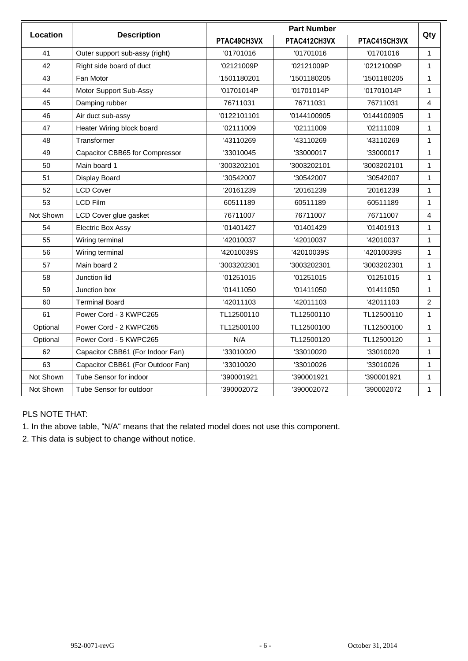|                 |                                   | <b>Part Number</b> |              |              |                |  |  |
|-----------------|-----------------------------------|--------------------|--------------|--------------|----------------|--|--|
| <b>Location</b> | <b>Description</b>                | PTAC49CH3VX        | PTAC412CH3VX | PTAC415CH3VX | Qty            |  |  |
| 41              | Outer support sub-assy (right)    | '01701016          | '01701016    | '01701016    | $\mathbf{1}$   |  |  |
| 42              | Right side board of duct          | '02121009P         | '02121009P   | '02121009P   | 1              |  |  |
| 43              | Fan Motor                         | '1501180201        | '1501180205  | '1501180205  | $\mathbf{1}$   |  |  |
| 44              | Motor Support Sub-Assy            | '01701014P         | '01701014P   | '01701014P   | 1              |  |  |
| 45              | Damping rubber                    | 76711031           | 76711031     | 76711031     | 4              |  |  |
| 46              | Air duct sub-assy                 | '0122101101        | '0144100905  | '0144100905  | 1              |  |  |
| 47              | Heater Wiring block board         | '02111009          | '02111009    | '02111009    | 1              |  |  |
| 48              | Transformer                       | '43110269          | '43110269    | '43110269    | 1              |  |  |
| 49              | Capacitor CBB65 for Compressor    | '33010045          | '33000017    | '33000017    | 1              |  |  |
| 50              | Main board 1                      | '3003202101        | '3003202101  | '3003202101  | 1              |  |  |
| 51              | Display Board                     | '30542007          | '30542007    | '30542007    | 1              |  |  |
| 52              | <b>LCD Cover</b>                  | '20161239          | '20161239    | '20161239    | $\mathbf{1}$   |  |  |
| 53              | <b>LCD Film</b>                   | 60511189           | 60511189     | 60511189     | 1              |  |  |
| Not Shown       | LCD Cover glue gasket             | 76711007           | 76711007     | 76711007     | 4              |  |  |
| 54              | <b>Electric Box Assy</b>          | '01401427          | '01401429    | '01401913    | 1              |  |  |
| 55              | Wiring terminal                   | '42010037          | '42010037    | '42010037    | $\mathbf{1}$   |  |  |
| 56              | Wiring terminal                   | '42010039S         | '42010039S   | '42010039S   | 1              |  |  |
| 57              | Main board 2                      | '3003202301        | '3003202301  | '3003202301  | $\mathbf{1}$   |  |  |
| 58              | Junction lid                      | '01251015          | '01251015    | '01251015    | 1              |  |  |
| 59              | Junction box                      | '01411050          | '01411050    | '01411050    | $\mathbf{1}$   |  |  |
| 60              | <b>Terminal Board</b>             | '42011103          | '42011103    | '42011103    | $\overline{2}$ |  |  |
| 61              | Power Cord - 3 KWPC265            | TL12500110         | TL12500110   | TL12500110   | 1              |  |  |
| Optional        | Power Cord - 2 KWPC265            | TL12500100         | TL12500100   | TL12500100   | $\mathbf{1}$   |  |  |
| Optional        | Power Cord - 5 KWPC265            | N/A                | TL12500120   | TL12500120   | 1              |  |  |
| 62              | Capacitor CBB61 (For Indoor Fan)  | '33010020          | '33010020    | '33010020    | $\mathbf{1}$   |  |  |
| 63              | Capacitor CBB61 (For Outdoor Fan) | '33010020          | '33010026    | '33010026    | $\mathbf{1}$   |  |  |
| Not Shown       | Tube Sensor for indoor            | '390001921         | '390001921   | '390001921   | $\mathbf{1}$   |  |  |
| Not Shown       | Tube Sensor for outdoor           | '390002072         | '390002072   | '390002072   | 1              |  |  |

## PLS NOTE THAT:

1. In the above table, "N/A" means that the related model does not use this component.

2. This data is subject to change without notice.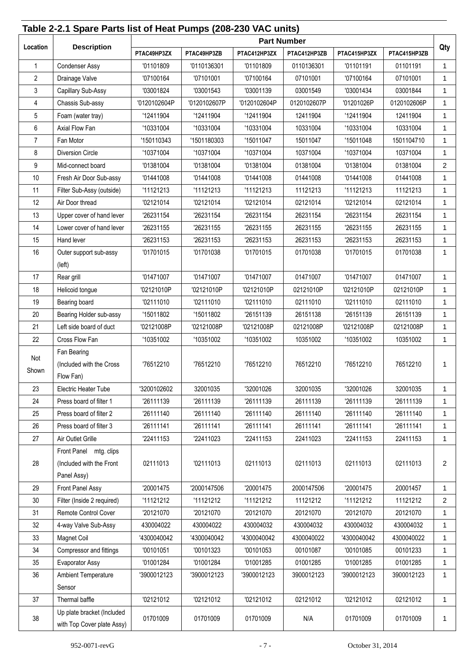#### **Table 2-2.1 Spare Parts list of Heat Pumps (208-230 VAC units) Location Description Part Number Qty PTAC49HP3ZX PTAC49HP3ZB PTAC412HP3ZX PTAC412HP3ZB PTAC415HP3ZX PTAC415HP3ZB** 1 | Condenser Assy | '01101809 | 101136301 | 101101136301 | 01101191 | 10101191 | 1 2 | Drainage Valve '07100164 '07101001 '07100164 07101001 1 3 Capillary Sub-Assy '03001824 '03001543 '03001139 03001549 '03001434 03001844 1 4 Chassis Sub-assy '0120102604P '0120102607P '0120102604P 0120102607P '01201026P 0120102606P 1 5 Foam (water tray) '12411904 '12411904 '12411904 12411904 '12411904 12411904 1 6 | Axial Flow Fan | '10331004 | '10331004 | '10331004 | '10331004 | 10331004 | 1 7 |Fan Motor '150110343 '1501180303 | '15011047 | 15011048 1501104710 | 1 8 | Diversion Circle | '10371004 | '10371004 | '10371004 | 10371004 | 10371004 | 1 9 Mid-connect board '01381004 '01381004 '01381004 01381004 '01381004 01381004 2 10 Fresh Air Door Sub-assy | '01441008 | '01441008 | '01441008 | 101441008 | 101441008 | 01441008 | 1 11 | Filter Sub-Assy (outside) | '11121213 | '11121213 | '11121213 | 11121213 | 11121213 | 11121213 | 1 12 | Air Door thread | '02121014 | '02121014 | '02121014 | 02121014 | '02121014 | 02121014 | 1 13 Upper cover of hand lever '26231154 '26231154 '26231154 26231154 '26231154 26231154 1 14 Lower cover of hand lever '26231155 '26231155 '26231155 26231155 '26231155 26231155 1 15 | Hand lever | '26231153 | '26231153 | 26231153 | 126231153 | 126231153 16 Outer support sub-assy (left) '01701015 | '01701038 | '01701015 | 01701038 | '01701015 | 01701038 | 1 17 Rear grill '01471007 '01471007 '01471007 01471007 '01471007 01471007 1 18 | Helicoid tongue | '02121010P | '02121010P | '02121010P | '02121010P | 02121010P | 102121010P | 1 19 | Bearing board '02111010 '02111010 '02111010 02111010 02111010 1 20 Bearing Holder sub-assy | '15011802 | '15011802 | '26151139 | 26151138 | '26151139 | 26151139 | 1 21 Left side board of duct '02121008P '02121008P '02121008P 02121008P '02121008P 02121008P 1 22 | Cross Flow Fan | '10351002 | '10351002 | 10351002 | 10351002 | 10351002 Not Shown Fan Bearing (Included with the Cross Flow Fan) '76512210 '76512210 '76512210 76512210 '76512210 76512210 1 23 Electric Heater Tube '3200102602 32001035 '32001026 32001035 '32001026 32001035 1 24 Press board of filter 1  $\blacksquare$  '26111139 | '26111139 | '26111139 | 26111139 | '26111139 | '26111139 | 1 25 | Press board of filter 2 | '26111140 | '26111140 | '26111140 | 26111140 | '26111140 | '26111140 | 1 26 Press board of filter 3 '26111141 '26111141 '26111141 26111141 '26111141 '26111141 1 27 |Air Outlet Grille '22411153 '22411023 22411153 22411153 1 28 Front Panel mtg. clips (Included with the Front Panel Assy) 02111013 | '02111013 | 02111013 | 02111013 | 02111013 | 2 29 Front Panel Assy '20001475 '2000147506 '20001475 2000147506 '20001475 20001457 1 30 | Filter (Inside 2 required) | '11121212 | '11121212 | '11121212 | 11121212 | '11121212 | 11121212 | 2 31 Remote Control Cover | '20121070 | '20121070 | '20121070 | 20121070 | '20121070 | 20121070 | 1 32 4-way Valve Sub-Assy 430004022 430004022 430004032 430004032 430004032 430004032 1 33 | Magnet Coil | '4300040042 | '4300040042 | '4300040042 | '4300040042 | '4300040042 | 4300040022 | 1 34 Compressor and fittings | '00101051 | '00101323 | '00101053 | 00101087 | '00101085 | 00101233 | 1 35 Evaporator Assy '01001284 '01001284 '01001285 01001285 '01001285 01001285 1 36 Ambient Temperature Sensor '3900012123 | '3900012123 | '3900012123 | 3900012123 | '3900012123 | 3900012123 | 1 37 | Thermal baffle '02121012 '02121012 '02121012 '02121012 1 38 Up plate bracket (Included with Top Cover plate Assy) 01701009 | 01701009 | 01701009 | N/A | 01701009 | 01701009 | 1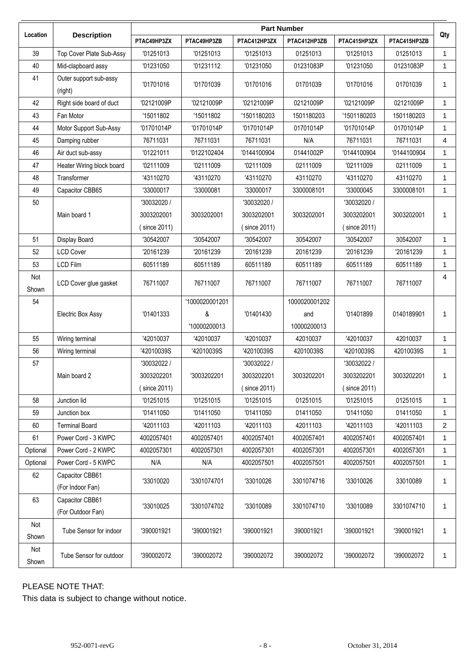|              |                                      | <b>Part Number</b> |                |              |               |              |              |              |
|--------------|--------------------------------------|--------------------|----------------|--------------|---------------|--------------|--------------|--------------|
| Location     | <b>Description</b>                   | PTAC49HP3ZX        | PTAC49HP3ZB    | PTAC412HP3ZX | PTAC412HP3ZB  | PTAC415HP3ZX | PTAC415HP3ZB | Qty          |
| 39           | Top Cover Plate Sub-Assy             | '01251013          | '01251013      | '01251013    | 01251013      | '01251013    | 01251013     | 1.           |
| 40           | Mid-clapboard assy                   | '01231050          | '01231112      | '01231050    | 01231083P     | '01231050    | 01231083P    | $\mathbf{1}$ |
| 41           | Outer support sub-assy<br>(right)    | '01701016          | '01701039      | '01701016    | 01701039      | '01701016    | 01701039     | $\mathbf{1}$ |
| 42           | Right side board of duct             | '02121009P         | '02121009P     | '02121009P   | 02121009P     | '02121009P   | 02121009P    | $\mathbf{1}$ |
| 43           | Fan Motor                            | '15011802          | '15011802      | '1501180203  | 1501180203    | '1501180203  | 1501180203   | $\mathbf{1}$ |
| 44           | Motor Support Sub-Assy               | '01701014P         | '01701014P     | '01701014P   | 01701014P     | '01701014P   | 01701014P    | $\mathbf{1}$ |
| 45           | Damping rubber                       | 76711031           | 76711031       | 76711031     | N/A           | 76711031     | 76711031     | 4            |
| 46           | Air duct sub-assy                    | '01221011          | '0122102404    | '0144100904  | 01441002P     | '0144100904  | '0144100904  | $\mathbf{1}$ |
| 47           | Heater Wiring block board            | '02111009          | '02111009      | '02111009    | 02111009      | '02111009    | 02111009     | $\mathbf{1}$ |
| 48           | Transformer                          | '43110270          | '43110270      | '43110270    | 43110270      | '43110270    | 43110270     | $\mathbf{1}$ |
| 49           | Capacitor CBB65                      | '33000017          | '33000081      | '33000017    | 3300008101    | '33000045    | 3300008101   | $\mathbf{1}$ |
| 50           |                                      | '30032020 /        |                | '30032020 /  |               | '30032020 /  |              |              |
|              | Main board 1                         | 3003202001         | 3003202001     | 3003202001   | 3003202001    | 3003202001   | 3003202001   | 1            |
|              |                                      | (since 2011)       |                | (since 2011) |               | (since 2011) |              |              |
| 51           | Display Board                        | '30542007          | '30542007      | '30542007    | 30542007      | '30542007    | 30542007     | $\mathbf{1}$ |
| 52           | <b>LCD Cover</b>                     | '20161239          | '20161239      | '20161239    | 20161239      | '20161239    | '20161239    | 1            |
| 53           | <b>LCD Film</b>                      | 60511189           | 60511189       | 60511189     | 60511189      | 60511189     | 60511189     | $\mathbf{1}$ |
| Not<br>Shown | LCD Cover glue gasket                | 76711007           | 76711007       | 76711007     | 76711007      | 76711007     | 76711007     | 4            |
| 54           |                                      |                    | '1000020001201 |              | 1000020001202 |              |              |              |
|              | <b>Electric Box Assy</b>             | '01401333          | &              | '01401430    | and           | '01401899    | 0140189901   | $\mathbf{1}$ |
|              |                                      |                    | '10000200013   |              | 10000200013   |              |              |              |
| 55           | Wiring terminal                      | '42010037          | '42010037      | '42010037    | 42010037      | '42010037    | 42010037     | $\mathbf{1}$ |
| 56           | Wiring terminal                      | '42010039S         | '42010039S     | '42010039S   | 42010039S     | '42010039S   | 42010039S    | $\mathbf{1}$ |
| 57           |                                      | '30032022 /        |                | '30032022 /  |               | '30032022 /  |              |              |
|              | Main board 2                         | 3003202201         | '3003202201    | 3003202201   | 3003202201    | 3003202201   | 3003202201   | $\mathbf{1}$ |
|              |                                      | (since 2011)       |                | (since 2011) |               | (since 2011) |              |              |
| 58           | Junction lid                         | '01251015          | '01251015      | '01251015    | 01251015      | '01251015    | 01251015     | $\mathbf{1}$ |
| 59           | Junction box                         | '01411050          | '01411050      | '01411050    | 01411050      | '01411050    | 01411050     | $\mathbf{1}$ |
| 60           | <b>Terminal Board</b>                | '42011103          | '42011103      | '42011103    | 42011103      | '42011103    | '42011103    | 2            |
| 61           | Power Cord - 3 KWPC                  | 4002057401         | 4002057401     | 4002057401   | 4002057401    | 4002057401   | 4002057401   | $\mathbf{1}$ |
| Optional     | Power Cord - 2 KWPC                  | 4002057301         | 4002057301     | 4002057301   | 4002057301    | 4002057301   | 4002057301   | $\mathbf{1}$ |
| Optional     | Power Cord - 5 KWPC                  | N/A                | N/A            | 4002057501   | 4002057501    | 4002057501   | 4002057501   | 1.           |
| 62           | Capacitor CBB61<br>(For Indoor Fan)  | '33010020          | '3301074701    | '33010026    | 3301074716    | '33010026    | 33010089     | 1            |
| 63           | Capacitor CBB61<br>(For Outdoor Fan) | '33010025          | '3301074702    | '33010089    | 3301074710    | '33010089    | 3301074710   | 1            |
| Not<br>Shown | Tube Sensor for indoor               | '390001921         | '390001921     | '390001921   | 390001921     | '390001921   | '390001921   | 1.           |
| Not<br>Shown | Tube Sensor for outdoor              | '390002072         | '390002072     | '390002072   | 390002072     | '390002072   | '390002072   | $\mathbf{1}$ |

## PLEASE NOTE THAT:

This data is subject to change without notice.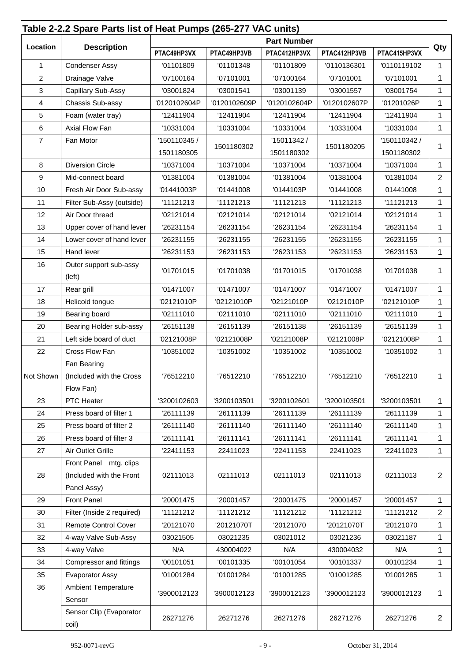|                | Table 2-2.2 Spare Parts list of Heat Pumps (265-277 VAC units) |                                                                            |              | <b>Part Number</b> |              |              |                |  |
|----------------|----------------------------------------------------------------|----------------------------------------------------------------------------|--------------|--------------------|--------------|--------------|----------------|--|
| Location       | <b>Description</b>                                             | PTAC412HP3VX<br>PTAC49HP3VX<br>PTAC49HP3VB<br>PTAC412HP3VB<br>PTAC415HP3VX |              |                    |              |              |                |  |
| $\mathbf{1}$   | <b>Condenser Assy</b>                                          | '01101809                                                                  | '01101348    | '01101809          | '0110136301  | '0110119102  | $\mathbf 1$    |  |
| $\overline{c}$ | Drainage Valve                                                 | '07100164                                                                  | '07101001    | '07100164          | '07101001    | '07101001    | 1              |  |
| $\sqrt{3}$     | Capillary Sub-Assy                                             | '03001824                                                                  | '03001541    | '03001139          | '03001557    | '03001754    | 1              |  |
| 4              | Chassis Sub-assy                                               | '0120102604P                                                               | '0120102609P | '0120102604P       | '0120102607P | '01201026P   | $\mathbf 1$    |  |
| $\sqrt{5}$     | Foam (water tray)                                              | '12411904                                                                  | '12411904    | '12411904          | '12411904    | '12411904    | 1              |  |
| 6              | Axial Flow Fan                                                 | '10331004                                                                  | '10331004    | '10331004          | '10331004    | '10331004    | $\mathbf{1}$   |  |
| $\overline{7}$ | Fan Motor                                                      | '150110345 /                                                               |              | '15011342 /        |              | '150110342 / |                |  |
|                |                                                                | 1501180305                                                                 | 1501180302   | 1501180302         | 1501180205   | 1501180302   | 1              |  |
| 8              | <b>Diversion Circle</b>                                        | '10371004                                                                  | '10371004    | '10371004          | '10371004    | '10371004    | $\mathbf{1}$   |  |
| 9              | Mid-connect board                                              | '01381004                                                                  | '01381004    | '01381004          | '01381004    | '01381004    | $\overline{2}$ |  |
| 10             | Fresh Air Door Sub-assy                                        | '01441003P                                                                 | '01441008    | '0144103P          | '01441008    | 01441008     | 1              |  |
| 11             | Filter Sub-Assy (outside)                                      | '11121213                                                                  | '11121213    | '11121213          | '11121213    | '11121213    | $\mathbf 1$    |  |
| 12             | Air Door thread                                                | '02121014                                                                  | '02121014    | '02121014          | '02121014    | '02121014    | $\mathbf 1$    |  |
| 13             | Upper cover of hand lever                                      | '26231154                                                                  | '26231154    | '26231154          | '26231154    | '26231154    | 1              |  |
| 14             | Lower cover of hand lever                                      | '26231155                                                                  | '26231155    | '26231155          | '26231155    | '26231155    | $\mathbf{1}$   |  |
| 15             | Hand lever                                                     | '26231153                                                                  | '26231153    | '26231153          | '26231153    | '26231153    | $\mathbf 1$    |  |
| 16             | Outer support sub-assy<br>(left)                               | '01701015                                                                  | '01701038    | '01701015          | '01701038    | '01701038    | 1              |  |
| 17             | Rear grill                                                     | '01471007                                                                  | '01471007    | '01471007          | '01471007    | '01471007    | 1              |  |
| 18             | Helicoid tongue                                                | '02121010P                                                                 | '02121010P   | '02121010P         | '02121010P   | '02121010P   | 1              |  |
| 19             | Bearing board                                                  | '02111010                                                                  | '02111010    | '02111010          | '02111010    | '02111010    | 1              |  |
| 20             | Bearing Holder sub-assy                                        | '26151138                                                                  | '26151139    | '26151138          | '26151139    | '26151139    | $\mathbf 1$    |  |
| 21             | Left side board of duct                                        | '02121008P                                                                 | '02121008P   | '02121008P         | '02121008P   | '02121008P   | $\mathbf 1$    |  |
| 22             | Cross Flow Fan                                                 | '10351002                                                                  | '10351002    | '10351002          | '10351002    | '10351002    | $\mathbf{1}$   |  |
|                | Fan Bearing                                                    |                                                                            |              |                    |              |              |                |  |
|                | Not Shown   (Included with the Cross                           | '76512210                                                                  | '76512210    | '76512210          | '76512210    | '76512210    |                |  |
|                | Flow Fan)                                                      |                                                                            |              |                    |              |              |                |  |
| 23             | PTC Heater                                                     | '3200102603                                                                | '3200103501  | '3200102601        | '3200103501  | '3200103501  | $\mathbf{1}$   |  |
| 24             | Press board of filter 1                                        | '26111139                                                                  | '26111139    | '26111139          | '26111139    | '26111139    | $\mathbf 1$    |  |
| 25             | Press board of filter 2                                        | '26111140                                                                  | '26111140    | '26111140          | '26111140    | '26111140    | 1              |  |
| 26             | Press board of filter 3                                        | '26111141                                                                  | '26111141    | '26111141          | '26111141    | '26111141    | $\mathbf 1$    |  |
| 27             | <b>Air Outlet Grille</b>                                       | '22411153                                                                  | 22411023     | '22411153          | 22411023     | '22411023    | 1              |  |
|                | Front Panel mtg. clips                                         |                                                                            |              |                    |              |              |                |  |
| 28             | (Included with the Front                                       | 02111013                                                                   | 02111013     | 02111013           | 02111013     | 02111013     | $\overline{2}$ |  |
|                | Panel Assy)                                                    |                                                                            |              |                    |              |              |                |  |
| 29             | Front Panel                                                    | '20001475                                                                  | '20001457    | '20001475          | '20001457    | '20001457    | $\mathbf 1$    |  |
| 30             | Filter (Inside 2 required)                                     | '11121212                                                                  | '11121212    | '11121212          | '11121212    | '11121212    | $\overline{2}$ |  |
| 31             | <b>Remote Control Cover</b>                                    | '20121070                                                                  | '20121070T   | '20121070          | '20121070T   | '20121070    | 1              |  |
| 32             | 4-way Valve Sub-Assy                                           | 03021505                                                                   | 03021235     | 03021012           | 03021236     | 03021187     | 1              |  |
| 33             | 4-way Valve                                                    | N/A                                                                        | 430004022    | N/A                | 430004032    | N/A          | $\mathbf 1$    |  |
| 34             | Compressor and fittings                                        | '00101051                                                                  | '00101335    | '00101054          | '00101337    | 00101234     | 1              |  |
| 35             | <b>Evaporator Assy</b>                                         | '01001284                                                                  | '01001284    | '01001285          | '01001285    | '01001285    | 1              |  |
| 36             | <b>Ambient Temperature</b><br>Sensor                           | '3900012123                                                                | '3900012123  | '3900012123        | '3900012123  | '3900012123  | 1              |  |
|                | Sensor Clip (Evaporator<br>coil)                               | 26271276                                                                   | 26271276     | 26271276           | 26271276     | 26271276     | $\overline{2}$ |  |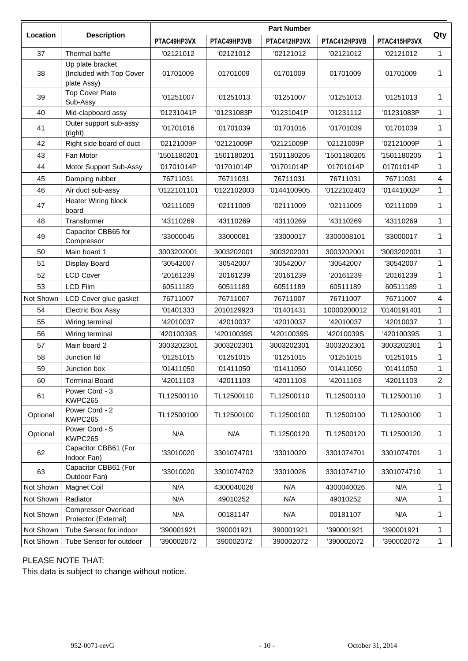|           |                                                             | <b>Part Number</b> |             |              |              |              |                         |  |
|-----------|-------------------------------------------------------------|--------------------|-------------|--------------|--------------|--------------|-------------------------|--|
| Location  | <b>Description</b>                                          | PTAC49HP3VX        | PTAC49HP3VB | PTAC412HP3VX | PTAC412HP3VB | PTAC415HP3VX | Qty                     |  |
| 37        | Thermal baffle                                              | '02121012          | '02121012   | '02121012    | '02121012    | '02121012    | 1                       |  |
| 38        | Up plate bracket<br>(Included with Top Cover<br>plate Assy) | 01701009           | 01701009    | 01701009     | 01701009     | 01701009     | 1                       |  |
| 39        | <b>Top Cover Plate</b><br>Sub-Assy                          | '01251007          | '01251013   | '01251007    | '01251013    | '01251013    | $\mathbf 1$             |  |
| 40        | Mid-clapboard assy                                          | '01231041P         | '01231083P  | '01231041P   | '01231112    | '01231083P   | $\mathbf{1}$            |  |
| 41        | Outer support sub-assy<br>(right)                           | '01701016          | '01701039   | '01701016    | '01701039    | '01701039    | 1                       |  |
| 42        | Right side board of duct                                    | '02121009P         | '02121009P  | '02121009P   | '02121009P   | '02121009P   | 1                       |  |
| 43        | Fan Motor                                                   | '1501180201        | '1501180201 | '1501180205  | '1501180205  | '1501180205  | $\mathbf 1$             |  |
| 44        | Motor Support Sub-Assy                                      | '01701014P         | '01701014P  | '01701014P   | '01701014P   | 01701014P    | 1                       |  |
| 45        | Damping rubber                                              | 76711031           | 76711031    | 76711031     | 76711031     | 76711031     | $\overline{\mathbf{4}}$ |  |
| 46        | Air duct sub-assy                                           | '0122101101        | '0122102003 | '0144100905  | '0122102403  | '01441002P   | 1                       |  |
| 47        | Heater Wiring block<br>board                                | '02111009          | '02111009   | '02111009    | '02111009    | '02111009    | 1                       |  |
| 48        | Transformer                                                 | '43110269          | '43110269   | '43110269    | '43110269    | '43110269    | $\mathbf{1}$            |  |
| 49        | Capacitor CBB65 for<br>Compressor                           | '33000045          | 33000081    | '33000017    | 3300008101   | '33000017    | 1                       |  |
| 50        | Main board 1                                                | 3003202001         | 3003202001  | 3003202001   | 3003202001   | '3003202001  | 1                       |  |
| 51        | Display Board                                               | '30542007          | '30542007   | '30542007    | '30542007    | '30542007    | $\mathbf 1$             |  |
| 52        | <b>LCD Cover</b>                                            | 20161239           | '20161239   | '20161239    | '20161239    | '20161239    | 1                       |  |
| 53        | <b>LCD Film</b>                                             | 60511189           | 60511189    | 60511189     | 60511189     | 60511189     | 1                       |  |
| Not Shown | LCD Cover glue gasket                                       | 76711007           | 76711007    | 76711007     | 76711007     | 76711007     | 4                       |  |
| 54        | Electric Box Assy                                           | '01401333          | 2010129923  | '01401431    | 10000200012  | '0140191401  | 1                       |  |
| 55        | Wiring terminal                                             | '42010037          | '42010037   | '42010037    | '42010037    | '42010037    | 1                       |  |
| 56        | Wiring terminal                                             | '42010039S         | '42010039S  | '42010039S   | '42010039S   | '42010039S   | 1                       |  |
| 57        | Main board 2                                                | 3003202301         | 3003202301  | 3003202301   | 3003202301   | 3003202301   | 1                       |  |
| 58        | Junction lid                                                | '01251015          | '01251015   | '01251015    | '01251015    | '01251015    | 1                       |  |
| 59        | Junction box                                                | '01411050          | '01411050   | '01411050    | '01411050    | '01411050    |                         |  |
| 60        | <b>Terminal Board</b>                                       | '42011103          | '42011103   | '42011103    | '42011103    | '42011103    | $\overline{2}$          |  |
| 61        | Power Cord - 3<br>KWPC265                                   | TL12500110         | TL12500110  | TL12500110   | TL12500110   | TL12500110   | 1                       |  |
| Optional  | Power Cord - 2<br>KWPC265                                   | TL12500100         | TL12500100  | TL12500100   | TL12500100   | TL12500100   | 1                       |  |
| Optional  | Power Cord - 5<br>KWPC265                                   | N/A                | N/A         | TL12500120   | TL12500120   | TL12500120   | $\mathbf 1$             |  |
| 62        | Capacitor CBB61 (For<br>Indoor Fan)                         | '33010020          | 3301074701  | '33010020    | 3301074701   | 3301074701   | $\mathbf 1$             |  |
| 63        | Capacitor CBB61 (For<br>Outdoor Fan)                        | '33010020          | 3301074702  | '33010026    | 3301074710   | 3301074710   | 1                       |  |
| Not Shown | <b>Magnet Coil</b>                                          | N/A                | 4300040026  | N/A          | 4300040026   | N/A          | 1                       |  |
| Not Shown | Radiator                                                    | N/A                | 49010252    | N/A          | 49010252     | N/A          | $\mathbf{1}$            |  |
| Not Shown | <b>Compressor Overload</b><br>Protector (External)          | N/A                | 00181147    | N/A          | 00181107     | N/A          | 1                       |  |
| Not Shown | Tube Sensor for indoor                                      | '390001921         | '390001921  | '390001921   | '390001921   | '390001921   | 1                       |  |
| Not Shown | Tube Sensor for outdoor                                     | '390002072         | '390002072  | '390002072   | '390002072   | '390002072   | $\mathbf{1}$            |  |

#### PLEASE NOTE THAT:

This data is subject to change without notice.